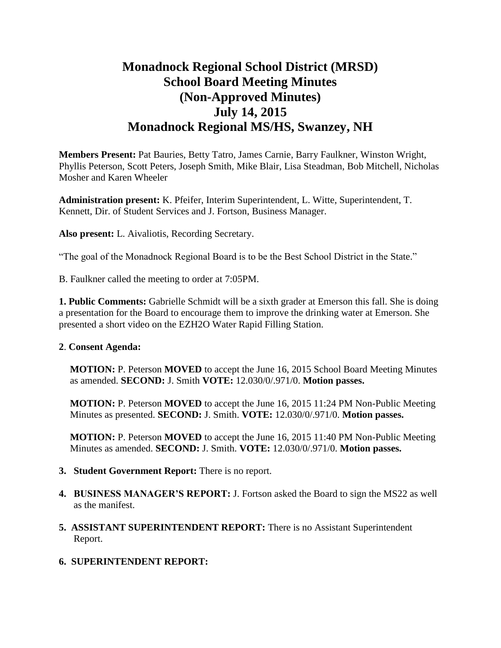# **Monadnock Regional School District (MRSD) School Board Meeting Minutes (Non-Approved Minutes) July 14, 2015 Monadnock Regional MS/HS, Swanzey, NH**

**Members Present:** Pat Bauries, Betty Tatro, James Carnie, Barry Faulkner, Winston Wright, Phyllis Peterson, Scott Peters, Joseph Smith, Mike Blair, Lisa Steadman, Bob Mitchell, Nicholas Mosher and Karen Wheeler

**Administration present:** K. Pfeifer, Interim Superintendent, L. Witte, Superintendent, T. Kennett, Dir. of Student Services and J. Fortson, Business Manager.

**Also present:** L. Aivaliotis, Recording Secretary.

"The goal of the Monadnock Regional Board is to be the Best School District in the State."

B. Faulkner called the meeting to order at 7:05PM.

**1. Public Comments:** Gabrielle Schmidt will be a sixth grader at Emerson this fall. She is doing a presentation for the Board to encourage them to improve the drinking water at Emerson. She presented a short video on the EZH2O Water Rapid Filling Station.

#### **2**. **Consent Agenda:**

**MOTION:** P. Peterson **MOVED** to accept the June 16, 2015 School Board Meeting Minutes as amended. **SECOND:** J. Smith **VOTE:** 12.030/0/.971/0. **Motion passes.** 

**MOTION:** P. Peterson **MOVED** to accept the June 16, 2015 11:24 PM Non-Public Meeting Minutes as presented. **SECOND:** J. Smith. **VOTE:** 12.030/0/.971/0. **Motion passes.** 

**MOTION:** P. Peterson **MOVED** to accept the June 16, 2015 11:40 PM Non-Public Meeting Minutes as amended. **SECOND:** J. Smith. **VOTE:** 12.030/0/.971/0. **Motion passes.** 

- **3. Student Government Report:** There is no report.
- **4. BUSINESS MANAGER'S REPORT:** J. Fortson asked the Board to sign the MS22 as well as the manifest.
- **5. ASSISTANT SUPERINTENDENT REPORT:** There is no Assistant Superintendent Report.
- **6. SUPERINTENDENT REPORT:**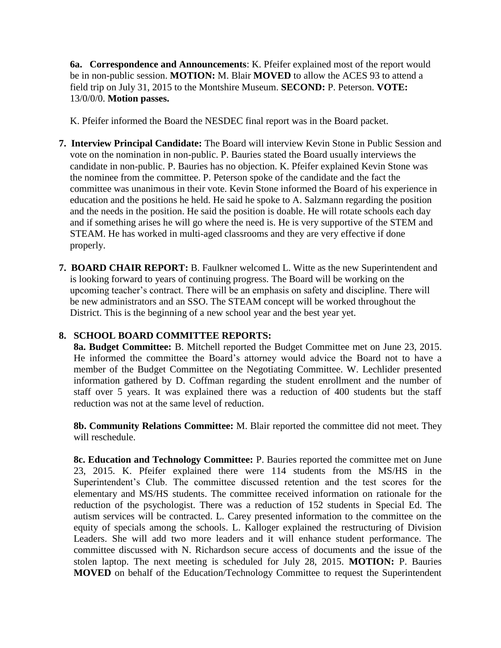**6a. Correspondence and Announcements**: K. Pfeifer explained most of the report would be in non-public session. **MOTION:** M. Blair **MOVED** to allow the ACES 93 to attend a field trip on July 31, 2015 to the Montshire Museum. **SECOND:** P. Peterson. **VOTE:**  13/0/0/0. **Motion passes.** 

K. Pfeifer informed the Board the NESDEC final report was in the Board packet.

- **7. Interview Principal Candidate:** The Board will interview Kevin Stone in Public Session and vote on the nomination in non-public. P. Bauries stated the Board usually interviews the candidate in non-public. P. Bauries has no objection. K. Pfeifer explained Kevin Stone was the nominee from the committee. P. Peterson spoke of the candidate and the fact the committee was unanimous in their vote. Kevin Stone informed the Board of his experience in education and the positions he held. He said he spoke to A. Salzmann regarding the position and the needs in the position. He said the position is doable. He will rotate schools each day and if something arises he will go where the need is. He is very supportive of the STEM and STEAM. He has worked in multi-aged classrooms and they are very effective if done properly.
- **7. BOARD CHAIR REPORT:** B. Faulkner welcomed L. Witte as the new Superintendent and is looking forward to years of continuing progress. The Board will be working on the upcoming teacher's contract. There will be an emphasis on safety and discipline. There will be new administrators and an SSO. The STEAM concept will be worked throughout the District. This is the beginning of a new school year and the best year yet.

## **8. SCHOOL BOARD COMMITTEE REPORTS:**

**8a. Budget Committee:** B. Mitchell reported the Budget Committee met on June 23, 2015. He informed the committee the Board's attorney would advice the Board not to have a member of the Budget Committee on the Negotiating Committee. W. Lechlider presented information gathered by D. Coffman regarding the student enrollment and the number of staff over 5 years. It was explained there was a reduction of 400 students but the staff reduction was not at the same level of reduction.

**8b. Community Relations Committee:** M. Blair reported the committee did not meet. They will reschedule.

 **8c. Education and Technology Committee:** P. Bauries reported the committee met on June 23, 2015. K. Pfeifer explained there were 114 students from the MS/HS in the Superintendent's Club. The committee discussed retention and the test scores for the elementary and MS/HS students. The committee received information on rationale for the reduction of the psychologist. There was a reduction of 152 students in Special Ed. The autism services will be contracted. L. Carey presented information to the committee on the equity of specials among the schools. L. Kalloger explained the restructuring of Division Leaders. She will add two more leaders and it will enhance student performance. The committee discussed with N. Richardson secure access of documents and the issue of the stolen laptop. The next meeting is scheduled for July 28, 2015. **MOTION:** P. Bauries **MOVED** on behalf of the Education/Technology Committee to request the Superintendent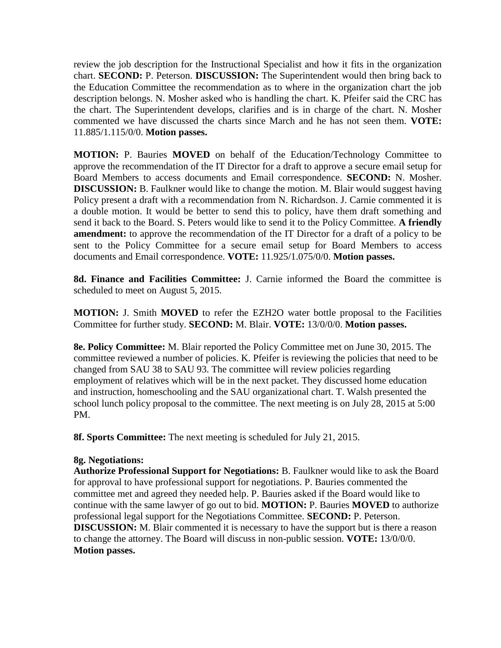review the job description for the Instructional Specialist and how it fits in the organization chart. **SECOND:** P. Peterson. **DISCUSSION:** The Superintendent would then bring back to the Education Committee the recommendation as to where in the organization chart the job description belongs. N. Mosher asked who is handling the chart. K. Pfeifer said the CRC has the chart. The Superintendent develops, clarifies and is in charge of the chart. N. Mosher commented we have discussed the charts since March and he has not seen them. **VOTE:**  11.885/1.115/0/0. **Motion passes.** 

**MOTION:** P. Bauries **MOVED** on behalf of the Education/Technology Committee to approve the recommendation of the IT Director for a draft to approve a secure email setup for Board Members to access documents and Email correspondence. **SECOND:** N. Mosher. **DISCUSSION:** B. Faulkner would like to change the motion. M. Blair would suggest having Policy present a draft with a recommendation from N. Richardson. J. Carnie commented it is a double motion. It would be better to send this to policy, have them draft something and send it back to the Board. S. Peters would like to send it to the Policy Committee. **A friendly amendment:** to approve the recommendation of the IT Director for a draft of a policy to be sent to the Policy Committee for a secure email setup for Board Members to access documents and Email correspondence. **VOTE:** 11.925/1.075/0/0. **Motion passes.** 

 **8d. Finance and Facilities Committee:** J. Carnie informed the Board the committee is scheduled to meet on August 5, 2015.

**MOTION:** J. Smith **MOVED** to refer the EZH2O water bottle proposal to the Facilities Committee for further study. **SECOND:** M. Blair. **VOTE:** 13/0/0/0. **Motion passes.** 

**8e. Policy Committee:** M. Blair reported the Policy Committee met on June 30, 2015. The committee reviewed a number of policies. K. Pfeifer is reviewing the policies that need to be changed from SAU 38 to SAU 93. The committee will review policies regarding employment of relatives which will be in the next packet. They discussed home education and instruction, homeschooling and the SAU organizational chart. T. Walsh presented the school lunch policy proposal to the committee. The next meeting is on July 28, 2015 at 5:00 PM.

 **8f. Sports Committee:** The next meeting is scheduled for July 21, 2015.

#### **8g. Negotiations:**

**Authorize Professional Support for Negotiations:** B. Faulkner would like to ask the Board for approval to have professional support for negotiations. P. Bauries commented the committee met and agreed they needed help. P. Bauries asked if the Board would like to continue with the same lawyer of go out to bid. **MOTION:** P. Bauries **MOVED** to authorize professional legal support for the Negotiations Committee. **SECOND:** P. Peterson. **DISCUSSION:** M. Blair commented it is necessary to have the support but is there a reason to change the attorney. The Board will discuss in non-public session. **VOTE:** 13/0/0/0. **Motion passes.**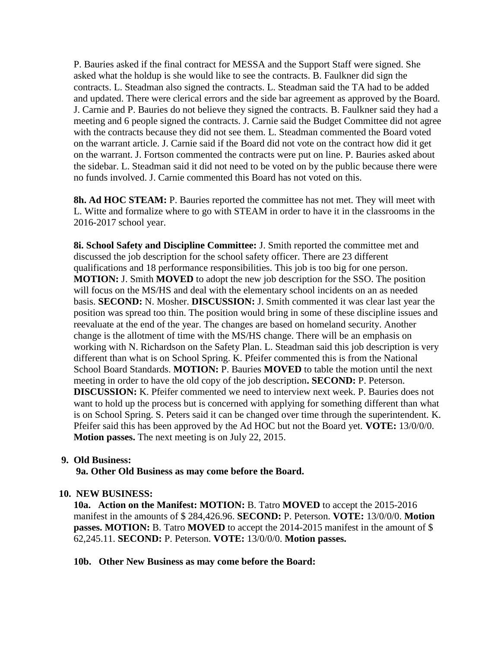P. Bauries asked if the final contract for MESSA and the Support Staff were signed. She asked what the holdup is she would like to see the contracts. B. Faulkner did sign the contracts. L. Steadman also signed the contracts. L. Steadman said the TA had to be added and updated. There were clerical errors and the side bar agreement as approved by the Board. J. Carnie and P. Bauries do not believe they signed the contracts. B. Faulkner said they had a meeting and 6 people signed the contracts. J. Carnie said the Budget Committee did not agree with the contracts because they did not see them. L. Steadman commented the Board voted on the warrant article. J. Carnie said if the Board did not vote on the contract how did it get on the warrant. J. Fortson commented the contracts were put on line. P. Bauries asked about the sidebar. L. Steadman said it did not need to be voted on by the public because there were no funds involved. J. Carnie commented this Board has not voted on this.

**8h. Ad HOC STEAM:** P. Bauries reported the committee has not met. They will meet with L. Witte and formalize where to go with STEAM in order to have it in the classrooms in the 2016-2017 school year.

**8i. School Safety and Discipline Committee:** J. Smith reported the committee met and discussed the job description for the school safety officer. There are 23 different qualifications and 18 performance responsibilities. This job is too big for one person. **MOTION:** J. Smith **MOVED** to adopt the new job description for the SSO. The position will focus on the MS/HS and deal with the elementary school incidents on an as needed basis. **SECOND:** N. Mosher. **DISCUSSION:** J. Smith commented it was clear last year the position was spread too thin. The position would bring in some of these discipline issues and reevaluate at the end of the year. The changes are based on homeland security. Another change is the allotment of time with the MS/HS change. There will be an emphasis on working with N. Richardson on the Safety Plan. L. Steadman said this job description is very different than what is on School Spring. K. Pfeifer commented this is from the National School Board Standards. **MOTION:** P. Bauries **MOVED** to table the motion until the next meeting in order to have the old copy of the job description**. SECOND:** P. Peterson. **DISCUSSION:** K. Pfeifer commented we need to interview next week. P. Bauries does not want to hold up the process but is concerned with applying for something different than what is on School Spring. S. Peters said it can be changed over time through the superintendent. K. Pfeifer said this has been approved by the Ad HOC but not the Board yet. **VOTE:** 13/0/0/0. **Motion passes.** The next meeting is on July 22, 2015.

#### **9. Old Business:**

 **9a. Other Old Business as may come before the Board.** 

#### **10. NEW BUSINESS:**

**10a. Action on the Manifest: MOTION:** B. Tatro **MOVED** to accept the 2015-2016 manifest in the amounts of \$ 284,426.96. **SECOND:** P. Peterson. **VOTE:** 13/0/0/0. **Motion passes. MOTION:** B. Tatro **MOVED** to accept the 2014-2015 manifest in the amount of \$ 62,245.11. **SECOND:** P. Peterson. **VOTE:** 13/0/0/0. **Motion passes.** 

#### **10b. Other New Business as may come before the Board:**